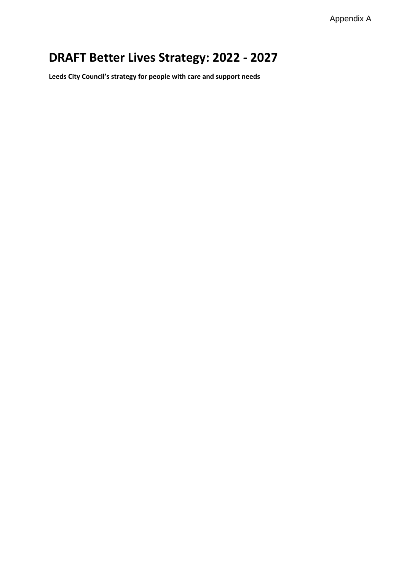Appendix A

# **DRAFT Better Lives Strategy: 2022 - 2027**

**Leeds City Council's strategy for people with care and support needs**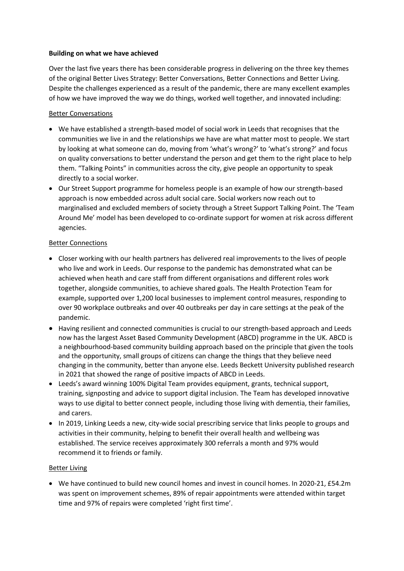## **Building on what we have achieved**

Over the last five years there has been considerable progress in delivering on the three key themes of the original Better Lives Strategy: Better Conversations, Better Connections and Better Living. Despite the challenges experienced as a result of the pandemic, there are many excellent examples of how we have improved the way we do things, worked well together, and innovated including:

# Better Conversations

- We have established a strength-based model of social work in Leeds that recognises that the communities we live in and the relationships we have are what matter most to people. We start by looking at what someone can do, moving from 'what's wrong?' to 'what's strong?' and focus on quality conversations to better understand the person and get them to the right place to help them. "Talking Points" in communities across the city, give people an opportunity to speak directly to a social worker.
- Our Street Support programme for homeless people is an example of how our strength-based approach is now embedded across adult social care. Social workers now reach out to marginalised and excluded members of society through a Street Support Talking Point. The 'Team Around Me' model has been developed to co-ordinate support for women at risk across different agencies.

## Better Connections

- Closer working with our health partners has delivered real improvements to the lives of people who live and work in Leeds. Our response to the pandemic has demonstrated what can be achieved when heath and care staff from different organisations and different roles work together, alongside communities, to achieve shared goals. The Health Protection Team for example, supported over 1,200 local businesses to implement control measures, responding to over 90 workplace outbreaks and over 40 outbreaks per day in care settings at the peak of the pandemic.
- Having resilient and connected communities is crucial to our strength-based approach and Leeds now has the largest Asset Based Community Development (ABCD) programme in the UK. ABCD is a neighbourhood-based community building approach based on the principle that given the tools and the opportunity, small groups of citizens can change the things that they believe need changing in the community, better than anyone else. Leeds Beckett University published research in 2021 that showed the range of positive impacts of ABCD in Leeds.
- Leeds's award winning 100% Digital Team provides equipment, grants, technical support, training, signposting and advice to support digital inclusion. The Team has developed innovative ways to use digital to better connect people, including those living with dementia, their families, and carers.
- In 2019, Linking Leeds a new, city-wide social prescribing service that links people to groups and activities in their community, helping to benefit their overall health and wellbeing was established. The service receives approximately 300 referrals a month and 97% would recommend it to friends or family.

# Better Living

 We have continued to build new council homes and invest in council homes. In 2020-21, £54.2m was spent on improvement schemes, 89% of repair appointments were attended within target time and 97% of repairs were completed 'right first time'.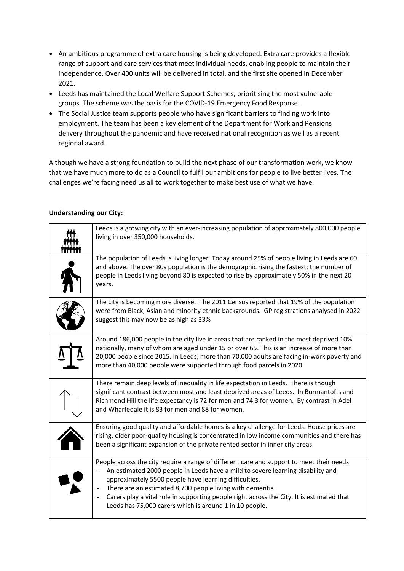- An ambitious programme of extra care housing is being developed. Extra care provides a flexible range of support and care services that meet individual needs, enabling people to maintain their independence. Over 400 units will be delivered in total, and the first site opened in December 2021.
- Leeds has maintained the Local Welfare Support Schemes, prioritising the most vulnerable groups. The scheme was the basis for the COVID-19 Emergency Food Response.
- The Social Justice team supports people who have significant barriers to finding work into employment. The team has been a key element of the Department for Work and Pensions delivery throughout the pandemic and have received national recognition as well as a recent regional award.

Although we have a strong foundation to build the next phase of our transformation work, we know that we have much more to do as a Council to fulfil our ambitions for people to live better lives. The challenges we're facing need us all to work together to make best use of what we have.

| Leeds is a growing city with an ever-increasing population of approximately 800,000 people<br>living in over 350,000 households.                                                                                                                                                                                                                                                                                                                                                                             |
|--------------------------------------------------------------------------------------------------------------------------------------------------------------------------------------------------------------------------------------------------------------------------------------------------------------------------------------------------------------------------------------------------------------------------------------------------------------------------------------------------------------|
| The population of Leeds is living longer. Today around 25% of people living in Leeds are 60<br>and above. The over 80s population is the demographic rising the fastest; the number of<br>people in Leeds living beyond 80 is expected to rise by approximately 50% in the next 20<br>years.                                                                                                                                                                                                                 |
| The city is becoming more diverse. The 2011 Census reported that 19% of the population<br>were from Black, Asian and minority ethnic backgrounds. GP registrations analysed in 2022<br>suggest this may now be as high as 33%                                                                                                                                                                                                                                                                                |
| Around 186,000 people in the city live in areas that are ranked in the most deprived 10%<br>nationally, many of whom are aged under 15 or over 65. This is an increase of more than<br>20,000 people since 2015. In Leeds, more than 70,000 adults are facing in-work poverty and<br>more than 40,000 people were supported through food parcels in 2020.                                                                                                                                                    |
| There remain deep levels of inequality in life expectation in Leeds. There is though<br>significant contrast between most and least deprived areas of Leeds. In Burmantofts and<br>Richmond Hill the life expectancy is 72 for men and 74.3 for women. By contrast in Adel<br>and Wharfedale it is 83 for men and 88 for women.                                                                                                                                                                              |
| Ensuring good quality and affordable homes is a key challenge for Leeds. House prices are<br>rising, older poor-quality housing is concentrated in low income communities and there has<br>been a significant expansion of the private rented sector in inner city areas.                                                                                                                                                                                                                                    |
| People across the city require a range of different care and support to meet their needs:<br>An estimated 2000 people in Leeds have a mild to severe learning disability and<br>approximately 5500 people have learning difficulties.<br>There are an estimated 8,700 people living with dementia.<br>$\blacksquare$<br>Carers play a vital role in supporting people right across the City. It is estimated that<br>$\qquad \qquad \blacksquare$<br>Leeds has 75,000 carers which is around 1 in 10 people. |

## **Understanding our City:**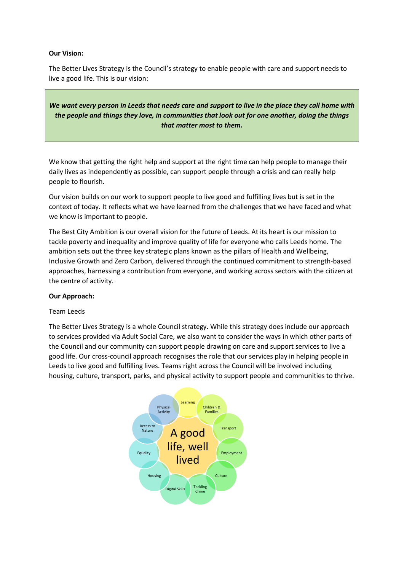## **Our Vision:**

The Better Lives Strategy is the Council's strategy to enable people with care and support needs to live a good life. This is our vision:

*We want every person in Leeds that needs care and support to live in the place they call home with the people and things they love, in communities that look out for one another, doing the things that matter most to them.*

We know that getting the right help and support at the right time can help people to manage their daily lives as independently as possible, can support people through a crisis and can really help people to flourish.

Our vision builds on our work to support people to live good and fulfilling lives but is set in the context of today. It reflects what we have learned from the challenges that we have faced and what we know is important to people.

The Best City Ambition is our overall vision for the future of Leeds. At its heart is our mission to tackle poverty and inequality and improve quality of life for everyone who calls Leeds home. The ambition sets out the three key strategic plans known as the pillars of Health and Wellbeing, Inclusive Growth and Zero Carbon, delivered through the continued commitment to strength-based approaches, harnessing a contribution from everyone, and working across sectors with the citizen at the centre of activity.

## **Our Approach:**

# Team Leeds

The Better Lives Strategy is a whole Council strategy. While this strategy does include our approach to services provided via Adult Social Care, we also want to consider the ways in which other parts of the Council and our community can support people drawing on care and support services to live a good life. Our cross-council approach recognises the role that our services play in helping people in Leeds to live good and fulfilling lives. Teams right across the Council will be involved including housing, culture, transport, parks, and physical activity to support people and communities to thrive.

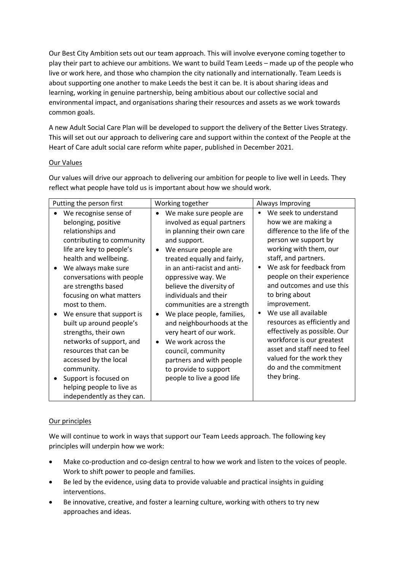Our Best City Ambition sets out our team approach. This will involve everyone coming together to play their part to achieve our ambitions. We want to build Team Leeds – made up of the people who live or work here, and those who champion the city nationally and internationally. Team Leeds is about supporting one another to make Leeds the best it can be. It is about sharing ideas and learning, working in genuine partnership, being ambitious about our collective social and environmental impact, and organisations sharing their resources and assets as we work towards common goals.

A new Adult Social Care Plan will be developed to support the delivery of the Better Lives Strategy. This will set out our approach to delivering care and support within the context of the People at the Heart of Care adult social care reform white paper, published in December 2021.

# Our Values

Our values will drive our approach to delivering our ambition for people to live well in Leeds. They reflect what people have told us is important about how we should work.

| Putting the person first                                                                                                                                                                                                                                                                                                                                                                                                                                                                                                                                               | Working together<br>Always Improving                                                                                                                                                                                                                                                                                                                                                                                                                                                                                                                                        |                                                                                                                                                                                                                                                                                                                                                                                                                                                                                                                                     |
|------------------------------------------------------------------------------------------------------------------------------------------------------------------------------------------------------------------------------------------------------------------------------------------------------------------------------------------------------------------------------------------------------------------------------------------------------------------------------------------------------------------------------------------------------------------------|-----------------------------------------------------------------------------------------------------------------------------------------------------------------------------------------------------------------------------------------------------------------------------------------------------------------------------------------------------------------------------------------------------------------------------------------------------------------------------------------------------------------------------------------------------------------------------|-------------------------------------------------------------------------------------------------------------------------------------------------------------------------------------------------------------------------------------------------------------------------------------------------------------------------------------------------------------------------------------------------------------------------------------------------------------------------------------------------------------------------------------|
| We recognise sense of<br>belonging, positive<br>relationships and<br>contributing to community<br>life are key to people's<br>health and wellbeing.<br>We always make sure<br>$\bullet$<br>conversations with people<br>are strengths based<br>focusing on what matters<br>most to them.<br>We ensure that support is<br>$\bullet$<br>built up around people's<br>strengths, their own<br>networks of support, and<br>resources that can be<br>accessed by the local<br>community.<br>Support is focused on<br>helping people to live as<br>independently as they can. | We make sure people are<br>$\bullet$<br>involved as equal partners<br>in planning their own care<br>and support.<br>We ensure people are<br>$\bullet$<br>treated equally and fairly,<br>in an anti-racist and anti-<br>oppressive way. We<br>believe the diversity of<br>individuals and their<br>communities are a strength<br>We place people, families,<br>$\bullet$<br>and neighbourhoods at the<br>very heart of our work.<br>We work across the<br>$\bullet$<br>council, community<br>partners and with people<br>to provide to support<br>people to live a good life | We seek to understand<br>$\bullet$<br>how we are making a<br>difference to the life of the<br>person we support by<br>working with them, our<br>staff, and partners.<br>We ask for feedback from<br>people on their experience<br>and outcomes and use this<br>to bring about<br>improvement.<br>We use all available<br>$\bullet$<br>resources as efficiently and<br>effectively as possible. Our<br>workforce is our greatest<br>asset and staff need to feel<br>valued for the work they<br>do and the commitment<br>they bring. |

# Our principles

We will continue to work in ways that support our Team Leeds approach. The following key principles will underpin how we work:

- Make co-production and co-design central to how we work and listen to the voices of people. Work to shift power to people and families.
- Be led by the evidence, using data to provide valuable and practical insights in guiding interventions.
- Be innovative, creative, and foster a learning culture, working with others to try new approaches and ideas.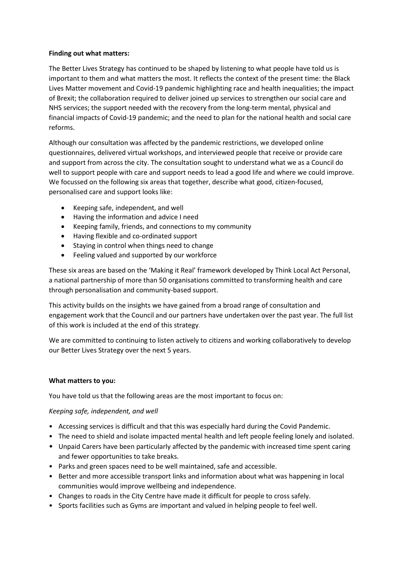## **Finding out what matters:**

The Better Lives Strategy has continued to be shaped by listening to what people have told us is important to them and what matters the most. It reflects the context of the present time: the Black Lives Matter movement and Covid-19 pandemic highlighting race and health inequalities; the impact of Brexit; the collaboration required to deliver joined up services to strengthen our social care and NHS services; the support needed with the recovery from the long-term mental, physical and financial impacts of Covid-19 pandemic; and the need to plan for the national health and social care reforms.

Although our consultation was affected by the pandemic restrictions, we developed online questionnaires, delivered virtual workshops, and interviewed people that receive or provide care and support from across the city. The consultation sought to understand what we as a Council do well to support people with care and support needs to lead a good life and where we could improve. We focussed on the following six areas that together, describe what good, citizen-focused, personalised care and support looks like:

- Keeping safe, independent, and well
- Having the information and advice I need
- Keeping family, friends, and connections to my community
- Having flexible and co-ordinated support
- Staying in control when things need to change
- Feeling valued and supported by our workforce

These six areas are based on the 'Making it Real' framework developed by Think Local Act Personal, a national partnership of more than 50 organisations committed to transforming health and care through personalisation and community-based support.

This activity builds on the insights we have gained from a broad range of consultation and engagement work that the Council and our partners have undertaken over the past year. The full list of this work is included at the end of this strategy.

We are committed to continuing to listen actively to citizens and working collaboratively to develop our Better Lives Strategy over the next 5 years.

## **What matters to you:**

You have told us that the following areas are the most important to focus on:

# *Keeping safe, independent, and well*

- Accessing services is difficult and that this was especially hard during the Covid Pandemic.
- The need to shield and isolate impacted mental health and left people feeling lonely and isolated.
- Unpaid Carers have been particularly affected by the pandemic with increased time spent caring and fewer opportunities to take breaks.
- Parks and green spaces need to be well maintained, safe and accessible.
- Better and more accessible transport links and information about what was happening in local communities would improve wellbeing and independence.
- Changes to roads in the City Centre have made it difficult for people to cross safely.
- Sports facilities such as Gyms are important and valued in helping people to feel well.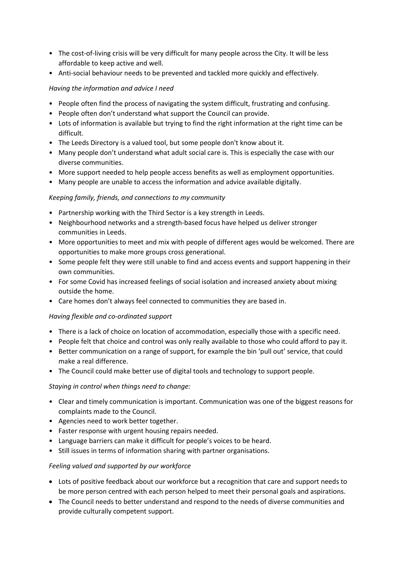- The cost-of-living crisis will be very difficult for many people across the City. It will be less affordable to keep active and well.
- Anti-social behaviour needs to be prevented and tackled more quickly and effectively.

# *Having the information and advice I need*

- People often find the process of navigating the system difficult, frustrating and confusing.
- People often don't understand what support the Council can provide.
- Lots of information is available but trying to find the right information at the right time can be difficult.
- The Leeds Directory is a valued tool, but some people don't know about it.
- Many people don't understand what adult social care is. This is especially the case with our diverse communities.
- More support needed to help people access benefits as well as employment opportunities.
- Many people are unable to access the information and advice available digitally.

# *Keeping family, friends, and connections to my community*

- Partnership working with the Third Sector is a key strength in Leeds.
- Neighbourhood networks and a strength-based focus have helped us deliver stronger communities in Leeds.
- More opportunities to meet and mix with people of different ages would be welcomed. There are opportunities to make more groups cross generational.
- Some people felt they were still unable to find and access events and support happening in their own communities.
- For some Covid has increased feelings of social isolation and increased anxiety about mixing outside the home.
- Care homes don't always feel connected to communities they are based in.

# *Having flexible and co-ordinated support*

- There is a lack of choice on location of accommodation, especially those with a specific need.
- People felt that choice and control was only really available to those who could afford to pay it.
- Better communication on a range of support, for example the bin 'pull out' service, that could make a real difference.
- The Council could make better use of digital tools and technology to support people.

# *Staying in control when things need to change:*

- Clear and timely communication is important. Communication was one of the biggest reasons for complaints made to the Council.
- Agencies need to work better together.
- Faster response with urgent housing repairs needed.
- Language barriers can make it difficult for people's voices to be heard.
- Still issues in terms of information sharing with partner organisations.

# *Feeling valued and supported by our workforce*

- Lots of positive feedback about our workforce but a recognition that care and support needs to be more person centred with each person helped to meet their personal goals and aspirations.
- The Council needs to better understand and respond to the needs of diverse communities and provide culturally competent support.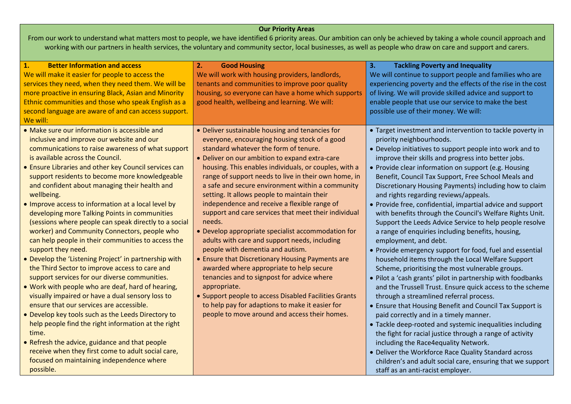# **Our Priority Areas**

From our work to understand what matters most to people, we have identified 6 priority areas. Our ambition can only be achieved by taking a whole council approach and working with our partners in health services, the voluntary and community sector, local businesses, as well as people who draw on care and support and carers.

| $\mathbf{1}$ .<br><b>Better Information and access</b><br>We will make it easier for people to access the<br>services they need, when they need them. We will be<br>more proactive in ensuring Black, Asian and Minority<br>Ethnic communities and those who speak English as a<br>second language are aware of and can access support.<br>We will:                                                                                                                                                                                                                                                                                                                                                                                                                                                                                                                                                                                                                                                                                                                                                                                                                                                                                                                 | 2.<br><b>Good Housing</b><br>We will work with housing providers, landlords,<br>tenants and communities to improve poor quality<br>housing, so everyone can have a home which supports<br>good health, wellbeing and learning. We will:                                                                                                                                                                                                                                                                                                                                                                                                                                                                                                                                                                                                                                                                                                                                                                 | 3.<br><b>Tackling Poverty and Inequality</b><br>We will continue to support people and families who are<br>experiencing poverty and the effects of the rise in the cost<br>of living. We will provide skilled advice and support to<br>enable people that use our service to make the best<br>possible use of their money. We will:                                                                                                                                                                                                                                                                                                                                                                                                                                                                                                                                                                                                                                                                                                                                                                                                                                                                                                                                                                                                                                                                                                                                        |
|---------------------------------------------------------------------------------------------------------------------------------------------------------------------------------------------------------------------------------------------------------------------------------------------------------------------------------------------------------------------------------------------------------------------------------------------------------------------------------------------------------------------------------------------------------------------------------------------------------------------------------------------------------------------------------------------------------------------------------------------------------------------------------------------------------------------------------------------------------------------------------------------------------------------------------------------------------------------------------------------------------------------------------------------------------------------------------------------------------------------------------------------------------------------------------------------------------------------------------------------------------------------|---------------------------------------------------------------------------------------------------------------------------------------------------------------------------------------------------------------------------------------------------------------------------------------------------------------------------------------------------------------------------------------------------------------------------------------------------------------------------------------------------------------------------------------------------------------------------------------------------------------------------------------------------------------------------------------------------------------------------------------------------------------------------------------------------------------------------------------------------------------------------------------------------------------------------------------------------------------------------------------------------------|----------------------------------------------------------------------------------------------------------------------------------------------------------------------------------------------------------------------------------------------------------------------------------------------------------------------------------------------------------------------------------------------------------------------------------------------------------------------------------------------------------------------------------------------------------------------------------------------------------------------------------------------------------------------------------------------------------------------------------------------------------------------------------------------------------------------------------------------------------------------------------------------------------------------------------------------------------------------------------------------------------------------------------------------------------------------------------------------------------------------------------------------------------------------------------------------------------------------------------------------------------------------------------------------------------------------------------------------------------------------------------------------------------------------------------------------------------------------------|
| • Make sure our information is accessible and<br>inclusive and improve our website and our<br>communications to raise awareness of what support<br>is available across the Council.<br>• Ensure Libraries and other key Council services can<br>support residents to become more knowledgeable<br>and confident about managing their health and<br>wellbeing.<br>. Improve access to information at a local level by<br>developing more Talking Points in communities<br>(sessions where people can speak directly to a social<br>worker) and Community Connectors, people who<br>can help people in their communities to access the<br>support they need.<br>• Develop the 'Listening Project' in partnership with<br>the Third Sector to improve access to care and<br>support services for our diverse communities.<br>. Work with people who are deaf, hard of hearing,<br>visually impaired or have a dual sensory loss to<br>ensure that our services are accessible.<br>• Develop key tools such as the Leeds Directory to<br>help people find the right information at the right<br>time.<br>• Refresh the advice, guidance and that people<br>receive when they first come to adult social care,<br>focused on maintaining independence where<br>possible. | • Deliver sustainable housing and tenancies for<br>everyone, encouraging housing stock of a good<br>standard whatever the form of tenure.<br>• Deliver on our ambition to expand extra-care<br>housing. This enables individuals, or couples, with a<br>range of support needs to live in their own home, in<br>a safe and secure environment within a community<br>setting. It allows people to maintain their<br>independence and receive a flexible range of<br>support and care services that meet their individual<br>needs.<br>• Develop appropriate specialist accommodation for<br>adults with care and support needs, including<br>people with dementia and autism.<br>• Ensure that Discretionary Housing Payments are<br>awarded where appropriate to help secure<br>tenancies and to signpost for advice where<br>appropriate.<br>• Support people to access Disabled Facilities Grants<br>to help pay for adaptions to make it easier for<br>people to move around and access their homes. | • Target investment and intervention to tackle poverty in<br>priority neighbourhoods.<br>• Develop initiatives to support people into work and to<br>improve their skills and progress into better jobs.<br>• Provide clear information on support (e.g. Housing<br>Benefit, Council Tax Support, Free School Meals and<br>Discretionary Housing Payments) including how to claim<br>and rights regarding reviews/appeals.<br>• Provide free, confidential, impartial advice and support<br>with benefits through the Council's Welfare Rights Unit.<br>Support the Leeds Advice Service to help people resolve<br>a range of enquiries including benefits, housing,<br>employment, and debt.<br>• Provide emergency support for food, fuel and essential<br>household items through the Local Welfare Support<br>Scheme, prioritising the most vulnerable groups.<br>. Pilot a 'cash grants' pilot in partnership with foodbanks<br>and the Trussell Trust. Ensure quick access to the scheme<br>through a streamlined referral process.<br>• Ensure that Housing Benefit and Council Tax Support is<br>paid correctly and in a timely manner.<br>• Tackle deep-rooted and systemic inequalities including<br>the fight for racial justice through a range of activity<br>including the Race4equality Network.<br>• Deliver the Workforce Race Quality Standard across<br>children's and adult social care, ensuring that we support<br>staff as an anti-racist employer. |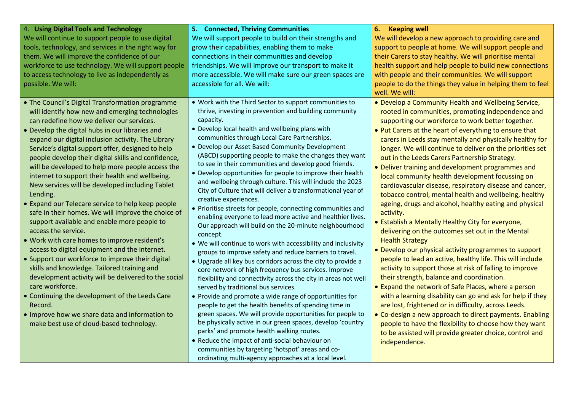| 4. Using Digital Tools and Technology<br>We will continue to support people to use digital<br>tools, technology, and services in the right way for<br>them. We will improve the confidence of our<br>workforce to use technology. We will support people<br>to access technology to live as independently as<br>possible. We will:                                                                                                                                                                                                                                                                                                                                                                                                                                                                                                                                                                                                                                                                                                                                                                                                                                     | 5. Connected, Thriving Communities<br>We will support people to build on their strengths and<br>grow their capabilities, enabling them to make<br>connections in their communities and develop<br>friendships. We will improve our transport to make it<br>more accessible. We will make sure our green spaces are<br>accessible for all. We will:                                                                                                                                                                                                                                                                                                                                                                                                                                                                                                                                                                                                                                                                                                                                                                                                                                                                                                                                                                                                                                                                                                                                                                                                                                                                                                    | 6.<br><b>Keeping well</b><br>We will develop a new approach to providing care and<br>support to people at home. We will support people and<br>their Carers to stay healthy. We will prioritise mental<br>health support and help people to build new connections<br>with people and their communities. We will support<br>people to do the things they value in helping them to feel<br>well. We will:                                                                                                                                                                                                                                                                                                                                                                                                                                                                                                                                                                                                                                                                                                                                                                                                                                                                                                                                                                                                                                              |
|------------------------------------------------------------------------------------------------------------------------------------------------------------------------------------------------------------------------------------------------------------------------------------------------------------------------------------------------------------------------------------------------------------------------------------------------------------------------------------------------------------------------------------------------------------------------------------------------------------------------------------------------------------------------------------------------------------------------------------------------------------------------------------------------------------------------------------------------------------------------------------------------------------------------------------------------------------------------------------------------------------------------------------------------------------------------------------------------------------------------------------------------------------------------|-------------------------------------------------------------------------------------------------------------------------------------------------------------------------------------------------------------------------------------------------------------------------------------------------------------------------------------------------------------------------------------------------------------------------------------------------------------------------------------------------------------------------------------------------------------------------------------------------------------------------------------------------------------------------------------------------------------------------------------------------------------------------------------------------------------------------------------------------------------------------------------------------------------------------------------------------------------------------------------------------------------------------------------------------------------------------------------------------------------------------------------------------------------------------------------------------------------------------------------------------------------------------------------------------------------------------------------------------------------------------------------------------------------------------------------------------------------------------------------------------------------------------------------------------------------------------------------------------------------------------------------------------------|-----------------------------------------------------------------------------------------------------------------------------------------------------------------------------------------------------------------------------------------------------------------------------------------------------------------------------------------------------------------------------------------------------------------------------------------------------------------------------------------------------------------------------------------------------------------------------------------------------------------------------------------------------------------------------------------------------------------------------------------------------------------------------------------------------------------------------------------------------------------------------------------------------------------------------------------------------------------------------------------------------------------------------------------------------------------------------------------------------------------------------------------------------------------------------------------------------------------------------------------------------------------------------------------------------------------------------------------------------------------------------------------------------------------------------------------------------|
| • The Council's Digital Transformation programme<br>will identify how new and emerging technologies<br>can redefine how we deliver our services.<br>• Develop the digital hubs in our libraries and<br>expand our digital inclusion activity. The Library<br>Service's digital support offer, designed to help<br>people develop their digital skills and confidence,<br>will be developed to help more people access the<br>internet to support their health and wellbeing.<br>New services will be developed including Tablet<br>Lending.<br>• Expand our Telecare service to help keep people<br>safe in their homes. We will improve the choice of<br>support available and enable more people to<br>access the service.<br>. Work with care homes to improve resident's<br>access to digital equipment and the internet.<br>• Support our workforce to improve their digital<br>skills and knowledge. Tailored training and<br>development activity will be delivered to the social<br>care workforce.<br>• Continuing the development of the Leeds Care<br>Record.<br>. Improve how we share data and information to<br>make best use of cloud-based technology. | . Work with the Third Sector to support communities to<br>thrive, investing in prevention and building community<br>capacity.<br>• Develop local health and wellbeing plans with<br>communities through Local Care Partnerships.<br>• Develop our Asset Based Community Development<br>(ABCD) supporting people to make the changes they want<br>to see in their communities and develop good friends.<br>• Develop opportunities for people to improve their health<br>and wellbeing through culture. This will include the 2023<br>City of Culture that will deliver a transformational year of<br>creative experiences.<br>• Prioritise streets for people, connecting communities and<br>enabling everyone to lead more active and healthier lives.<br>Our approach will build on the 20-minute neighbourhood<br>concept.<br>• We will continue to work with accessibility and inclusivity<br>groups to improve safety and reduce barriers to travel.<br>• Upgrade all key bus corridors across the city to provide a<br>core network of high frequency bus services. Improve<br>flexibility and connectivity across the city in areas not well<br>served by traditional bus services.<br>• Provide and promote a wide range of opportunities for<br>people to get the health benefits of spending time in<br>green spaces. We will provide opportunities for people to<br>be physically active in our green spaces, develop 'country<br>parks' and promote health walking routes.<br>• Reduce the impact of anti-social behaviour on<br>communities by targeting 'hotspot' areas and co-<br>ordinating multi-agency approaches at a local level. | . Develop a Community Health and Wellbeing Service,<br>rooted in communities, promoting independence and<br>supporting our workforce to work better together.<br>. Put Carers at the heart of everything to ensure that<br>carers in Leeds stay mentally and physically healthy for<br>longer. We will continue to deliver on the priorities set<br>out in the Leeds Carers Partnership Strategy.<br>• Deliver training and development programmes and<br>local community health development focussing on<br>cardiovascular disease, respiratory disease and cancer,<br>tobacco control, mental health and wellbeing, healthy<br>ageing, drugs and alcohol, healthy eating and physical<br>activity.<br>• Establish a Mentally Healthy City for everyone,<br>delivering on the outcomes set out in the Mental<br><b>Health Strategy</b><br>• Develop our physical activity programmes to support<br>people to lead an active, healthy life. This will include<br>activity to support those at risk of falling to improve<br>their strength, balance and coordination.<br>• Expand the network of Safe Places, where a person<br>with a learning disability can go and ask for help if they<br>are lost, frightened or in difficulty, across Leeds.<br>• Co-design a new approach to direct payments. Enabling<br>people to have the flexibility to choose how they want<br>to be assisted will provide greater choice, control and<br>independence. |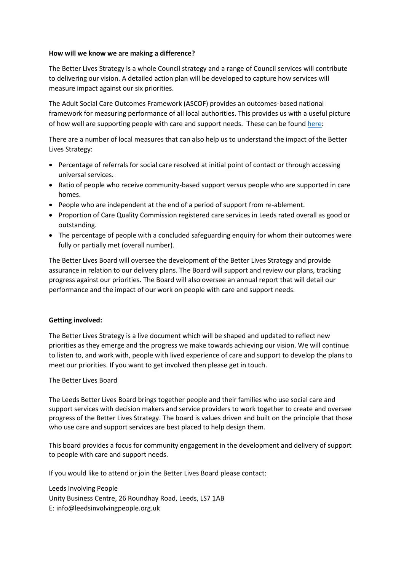## **How will we know we are making a difference?**

The Better Lives Strategy is a whole Council strategy and a range of Council services will contribute to delivering our vision. A detailed action plan will be developed to capture how services will measure impact against our six priorities.

The Adult Social Care Outcomes Framework (ASCOF) provides an outcomes-based national framework for measuring performance of all local authorities. This provides us with a useful picture of how well are supporting people with care and support needs. These can be found [here:](https://lginform.local.gov.uk/reports/view/lga-research/lga-research-report-adult-social-care-outcomes-framework-for-england-ascof-single-council-detailed-report?mod-area=E08000035&mod-type=namedComparisonGroup&mod-group=AllBoroughInRegion_London)

There are a number of local measures that can also help us to understand the impact of the Better Lives Strategy:

- Percentage of referrals for social care resolved at initial point of contact or through accessing universal services.
- Ratio of people who receive community-based support versus people who are supported in care homes.
- People who are independent at the end of a period of support from re-ablement.
- Proportion of Care Quality Commission registered care services in Leeds rated overall as good or outstanding.
- The percentage of people with a concluded safeguarding enquiry for whom their outcomes were fully or partially met (overall number).

The Better Lives Board will oversee the development of the Better Lives Strategy and provide assurance in relation to our delivery plans. The Board will support and review our plans, tracking progress against our priorities. The Board will also oversee an annual report that will detail our performance and the impact of our work on people with care and support needs.

## **Getting involved:**

The Better Lives Strategy is a live document which will be shaped and updated to reflect new priorities as they emerge and the progress we make towards achieving our vision. We will continue to listen to, and work with, people with lived experience of care and support to develop the plans to meet our priorities. If you want to get involved then please get in touch.

## The Better Lives Board

The Leeds Better Lives Board brings together people and their families who use social care and support services with decision makers and service providers to work together to create and oversee progress of the Better Lives Strategy. The board is values driven and built on the principle that those who use care and support services are best placed to help design them.

This board provides a focus for community engagement in the development and delivery of support to people with care and support needs.

If you would like to attend or join the Better Lives Board please contact:

Leeds Involving People Unity Business Centre, 26 Roundhay Road, Leeds, LS7 1AB E: info@leedsinvolvingpeople.org.uk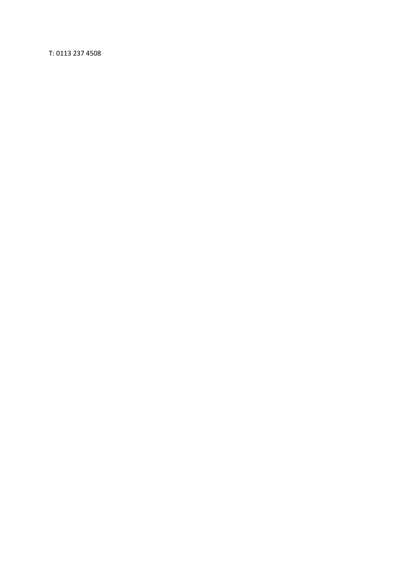T: 0113 237 4508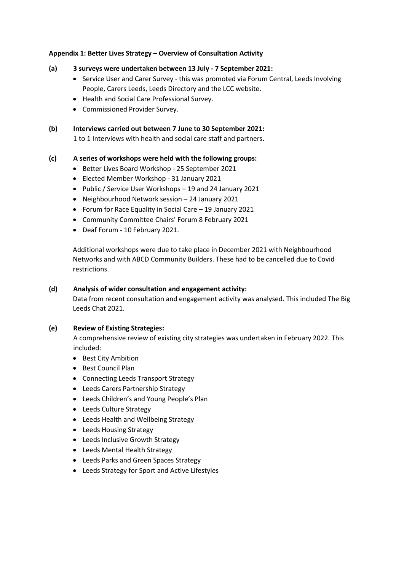## **Appendix 1: Better Lives Strategy – Overview of Consultation Activity**

- **(a) 3 surveys were undertaken between 13 July - 7 September 2021:**
	- Service User and Carer Survey this was promoted via Forum Central, Leeds Involving People, Carers Leeds, Leeds Directory and the LCC website.
	- Health and Social Care Professional Survey.
	- Commissioned Provider Survey.

**(b) Interviews carried out between 7 June to 30 September 2021:** 1 to 1 Interviews with health and social care staff and partners.

## **(c) A series of workshops were held with the following groups:**

- Better Lives Board Workshop 25 September 2021
- Elected Member Workshop 31 January 2021
- Public / Service User Workshops 19 and 24 January 2021
- Neighbourhood Network session 24 January 2021
- Forum for Race Equality in Social Care 19 January 2021
- Community Committee Chairs' Forum 8 February 2021
- Deaf Forum 10 February 2021.

Additional workshops were due to take place in December 2021 with Neighbourhood Networks and with ABCD Community Builders. These had to be cancelled due to Covid restrictions.

## **(d) Analysis of wider consultation and engagement activity:**

Data from recent consultation and engagement activity was analysed. This included The Big Leeds Chat 2021.

## **(e) Review of Existing Strategies:**

A comprehensive review of existing city strategies was undertaken in February 2022. This included:

- Best City Ambition
- Best Council Plan
- Connecting Leeds Transport Strategy
- Leeds Carers Partnership Strategy
- Leeds Children's and Young People's Plan
- Leeds Culture Strategy
- Leeds Health and Wellbeing Strategy
- Leeds Housing Strategy
- Leeds Inclusive Growth Strategy
- Leeds Mental Health Strategy
- Leeds Parks and Green Spaces Strategy
- Leeds Strategy for Sport and Active Lifestyles